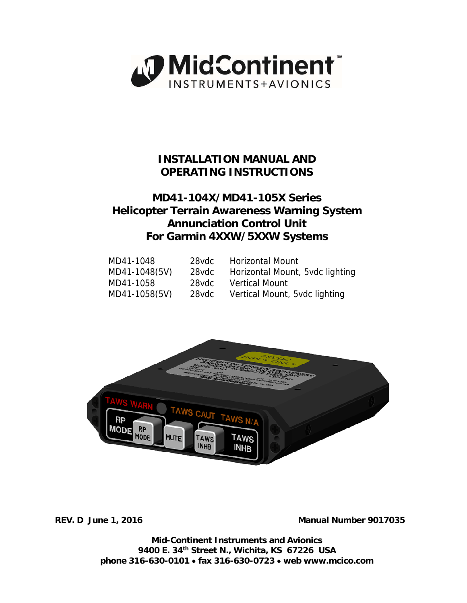

# **INSTALLATION MANUAL AND OPERATING INSTRUCTIONS**

# **MD41-104X/MD41-105X Series Helicopter Terrain Awareness Warning System Annunciation Control Unit For Garmin 4XXW/5XXW Systems**

| MD41-1048     | 28vdc | <b>Horizontal Mount</b>         |
|---------------|-------|---------------------------------|
| MD41-1048(5V) | 28vdc | Horizontal Mount, 5vdc lighting |
| MD41-1058     | 28vdc | <b>Vertical Mount</b>           |
| MD41-1058(5V) | 28vdc | Vertical Mount, 5vdc lighting   |



**REV. D June 1, 2016 Manual Number 9017035** 

**Mid-Continent Instruments and Avionics 9400 E. 34th Street N., Wichita, KS 67226 USA phone 316-630-0101 fax 316-630-0723 web www.mcico.com**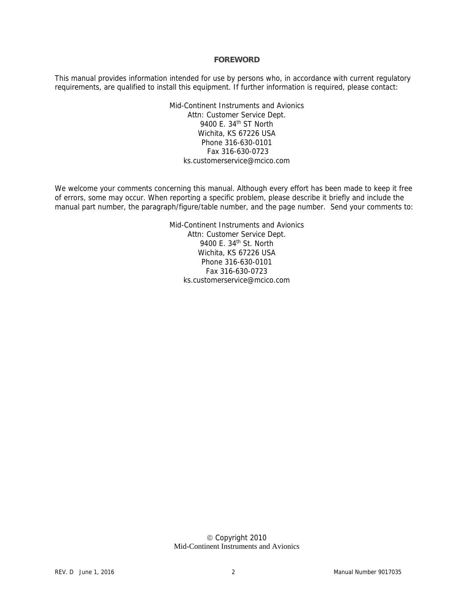#### **FOREWORD**

This manual provides information intended for use by persons who, in accordance with current regulatory requirements, are qualified to install this equipment. If further information is required, please contact:

> Mid-Continent Instruments and Avionics Attn: Customer Service Dept. 9400 E. 34th ST North Wichita, KS 67226 USA Phone 316-630-0101 Fax 316-630-0723 ks.customerservice@mcico.com

We welcome your comments concerning this manual. Although every effort has been made to keep it free of errors, some may occur. When reporting a specific problem, please describe it briefly and include the manual part number, the paragraph/figure/table number, and the page number. Send your comments to:

> Mid-Continent Instruments and Avionics Attn: Customer Service Dept. 9400 E. 34th St. North Wichita, KS 67226 USA Phone 316-630-0101 Fax 316-630-0723 ks.customerservice@mcico.com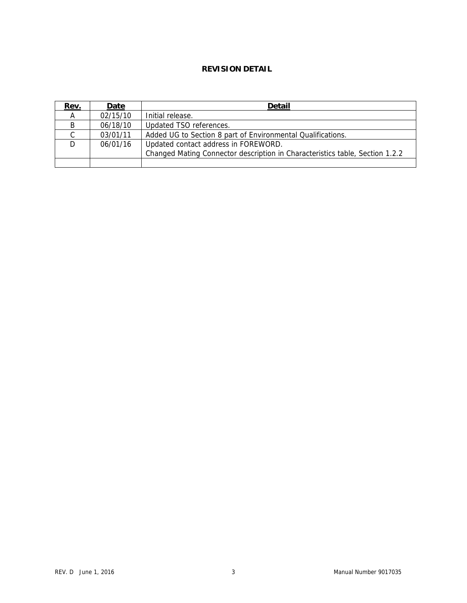# **REVISION DETAIL**

| Rev.          | Date     | <b>Detail</b>                                                                |
|---------------|----------|------------------------------------------------------------------------------|
| A             | 02/15/10 | Initial release.                                                             |
| B             | 06/18/10 | Updated TSO references.                                                      |
| $\mathcal{C}$ | 03/01/11 | Added UG to Section 8 part of Environmental Qualifications.                  |
| D.            | 06/01/16 | Updated contact address in FOREWORD.                                         |
|               |          | Changed Mating Connector description in Characteristics table, Section 1.2.2 |
|               |          |                                                                              |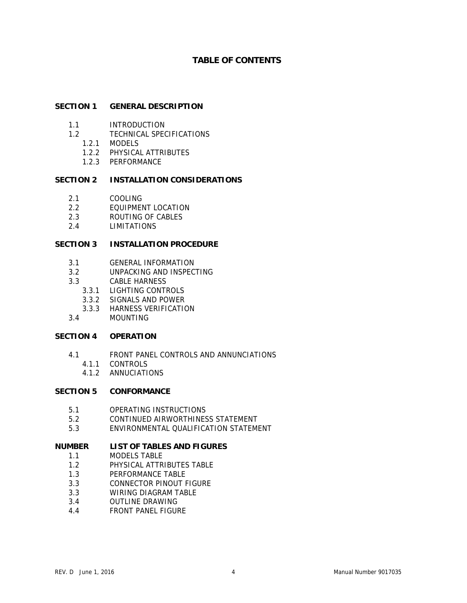# **TABLE OF CONTENTS**

#### **SECTION 1 GENERAL DESCRIPTION**

- 1.1 INTRODUCTION
- 1.2 TECHNICAL SPECIFICATIONS
	- 1.2.1 MODELS
		- 1.2.2 PHYSICAL ATTRIBUTES
		- 1.2.3 PERFORMANCE

## **SECTION 2 INSTALLATION CONSIDERATIONS**

- 2.1 COOLING
- 2.2 EQUIPMENT LOCATION
- 2.3 ROUTING OF CABLES
- 2.4 LIMITATIONS

## **SECTION 3 INSTALLATION PROCEDURE**

- 3.1 GENERAL INFORMATION
- 3.2 UNPACKING AND INSPECTING
- 3.3 CABLE HARNESS
	- 3.3.1 LIGHTING CONTROLS
	- 3.3.2 SIGNALS AND POWER
	- 3.3.3 HARNESS VERIFICATION
- 3.4 MOUNTING

#### **SECTION 4 OPERATION**

- 4.1 FRONT PANEL CONTROLS AND ANNUNCIATIONS
	- 4.1.1 CONTROLS
	- 4.1.2 ANNUCIATIONS

## **SECTION 5 CONFORMANCE**

- 5.1 OPERATING INSTRUCTIONS
- 5.2 CONTINUED AIRWORTHINESS STATEMENT
- 5.3 ENVIRONMENTAL QUALIFICATION STATEMENT

## **NUMBER LIST OF TABLES AND FIGURES**

- 1.1 MODELS TABLE
- 1.2 PHYSICAL ATTRIBUTES TABLE
- 1.3 PERFORMANCE TABLE
- 3.3 CONNECTOR PINOUT FIGURE
- 3.3 WIRING DIAGRAM TABLE
- 3.4 OUTLINE DRAWING
- 4.4 FRONT PANEL FIGURE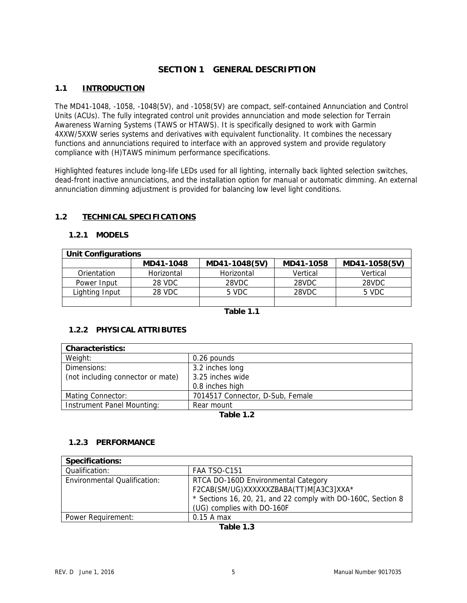# **SECTION 1 GENERAL DESCRIPTION**

# **1.1 INTRODUCTION**

The MD41-1048, -1058, -1048(5V), and -1058(5V) are compact, self-contained Annunciation and Control Units (ACUs). The fully integrated control unit provides annunciation and mode selection for Terrain Awareness Warning Systems (TAWS or HTAWS). It is specifically designed to work with Garmin 4XXW/5XXW series systems and derivatives with equivalent functionality. It combines the necessary functions and annunciations required to interface with an approved system and provide regulatory compliance with (H)TAWS minimum performance specifications.

Highlighted features include long-life LEDs used for all lighting, internally back lighted selection switches, dead-front inactive annunciations, and the installation option for manual or automatic dimming. An external annunciation dimming adjustment is provided for balancing low level light conditions.

# **1.2 TECHNICAL SPECIFICATIONS**

## **1.2.1 MODELS**

| <b>Unit Configurations</b> |            |               |           |               |  |
|----------------------------|------------|---------------|-----------|---------------|--|
|                            | MD41-1048  | MD41-1048(5V) | MD41-1058 | MD41-1058(5V) |  |
| Orientation                | Horizontal | Horizontal    | Vertical  | Vertical      |  |
| Power Input                | 28 VDC     | 28VDC         | 28VDC     | 28VDC         |  |
| Lighting Input             | 28 VDC     | 5 VDC         | 28VDC     | 5 VDC         |  |
|                            |            |               |           |               |  |

**Table 1.1** 

# **1.2.2 PHYSICAL ATTRIBUTES**

| <b>Characteristics:</b>           |                                  |  |  |
|-----------------------------------|----------------------------------|--|--|
| Weight:                           | 0.26 pounds                      |  |  |
| Dimensions:                       | 3.2 inches long                  |  |  |
| (not including connector or mate) | 3.25 inches wide                 |  |  |
|                                   | 0.8 inches high                  |  |  |
| Mating Connector:                 | 7014517 Connector, D-Sub, Female |  |  |
| Instrument Panel Mounting:        | Rear mount                       |  |  |
| $T$ -Ll-40                        |                                  |  |  |

**Table 1.2** 

## **1.2.3 PERFORMANCE**

| <b>Specifications:</b>              |                                                                                                                                               |  |  |  |
|-------------------------------------|-----------------------------------------------------------------------------------------------------------------------------------------------|--|--|--|
| Qualification:                      | FAA TSO-C151                                                                                                                                  |  |  |  |
| <b>Environmental Qualification:</b> | RTCA DO-160D Environmental Category<br>F2CAB(SM/UG)XXXXXXZBABA(TT)M[A3C3]XXA*<br>* Sections 16, 20, 21, and 22 comply with DO-160C, Section 8 |  |  |  |
|                                     | (UG) complies with DO-160F                                                                                                                    |  |  |  |
| Power Requirement:                  | $0.15$ A max                                                                                                                                  |  |  |  |

**Table 1.3**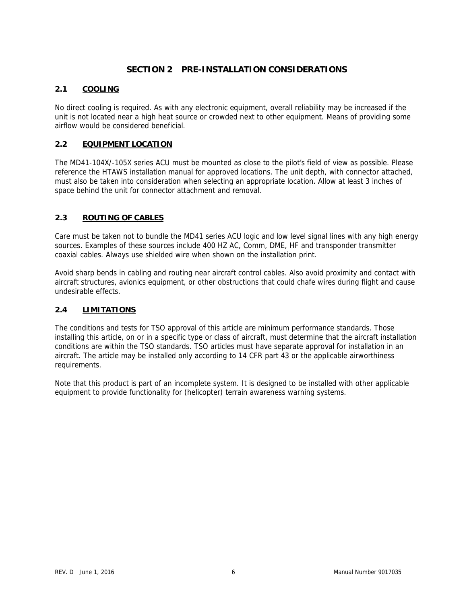# **SECTION 2 PRE-INSTALLATION CONSIDERATIONS**

# **2.1 COOLING**

No direct cooling is required. As with any electronic equipment, overall reliability may be increased if the unit is not located near a high heat source or crowded next to other equipment. Means of providing some airflow would be considered beneficial.

# **2.2 EQUIPMENT LOCATION**

The MD41-104X/-105X series ACU must be mounted as close to the pilot's field of view as possible. Please reference the HTAWS installation manual for approved locations. The unit depth, with connector attached, must also be taken into consideration when selecting an appropriate location. Allow at least 3 inches of space behind the unit for connector attachment and removal.

# **2.3 ROUTING OF CABLES**

Care must be taken not to bundle the MD41 series ACU logic and low level signal lines with any high energy sources. Examples of these sources include 400 HZ AC, Comm, DME, HF and transponder transmitter coaxial cables. Always use shielded wire when shown on the installation print.

Avoid sharp bends in cabling and routing near aircraft control cables. Also avoid proximity and contact with aircraft structures, avionics equipment, or other obstructions that could chafe wires during flight and cause undesirable effects.

## **2.4 LIMITATIONS**

The conditions and tests for TSO approval of this article are minimum performance standards. Those installing this article, on or in a specific type or class of aircraft, must determine that the aircraft installation conditions are within the TSO standards. TSO articles must have separate approval for installation in an aircraft. The article may be installed only according to 14 CFR part 43 or the applicable airworthiness requirements.

Note that this product is part of an incomplete system. It is designed to be installed with other applicable equipment to provide functionality for (helicopter) terrain awareness warning systems.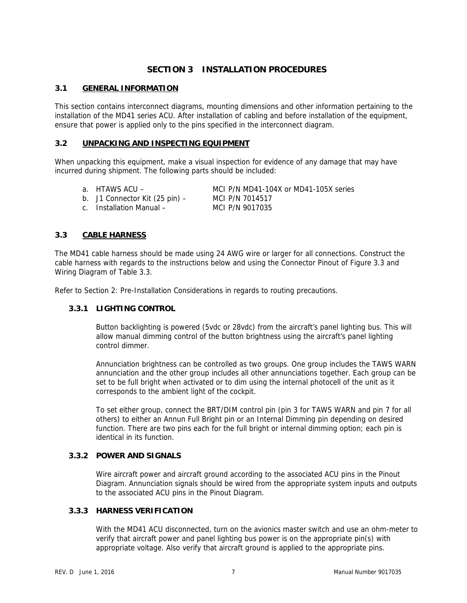# **SECTION 3 INSTALLATION PROCEDURES**

# **3.1 GENERAL INFORMATION**

This section contains interconnect diagrams, mounting dimensions and other information pertaining to the installation of the MD41 series ACU. After installation of cabling and before installation of the equipment, ensure that power is applied only to the pins specified in the interconnect diagram.

# **3.2 UNPACKING AND INSPECTING EQUIPMENT**

When unpacking this equipment, make a visual inspection for evidence of any damage that may have incurred during shipment. The following parts should be included:

- 
- b. J1 Connector Kit (25 pin) MCI P/N 7014517
- c. Installation Manual MCI P/N 9017035

a. HTAWS ACU – MCI P/N MD41-104X or MD41-105X series

## **3.3 CABLE HARNESS**

The MD41 cable harness should be made using 24 AWG wire or larger for all connections. Construct the cable harness with regards to the instructions below and using the Connector Pinout of Figure 3.3 and Wiring Diagram of Table 3.3.

Refer to Section 2: Pre-Installation Considerations in regards to routing precautions.

# **3.3.1 LIGHTING CONTROL**

Button backlighting is powered (5vdc or 28vdc) from the aircraft's panel lighting bus. This will allow manual dimming control of the button brightness using the aircraft's panel lighting control dimmer.

Annunciation brightness can be controlled as two groups. One group includes the TAWS WARN annunciation and the other group includes all other annunciations together. Each group can be set to be full bright when activated or to dim using the internal photocell of the unit as it corresponds to the ambient light of the cockpit.

To set either group, connect the BRT/DIM control pin (pin 3 for TAWS WARN and pin 7 for all others) to either an Annun Full Bright pin or an Internal Dimming pin depending on desired function. There are two pins each for the full bright or internal dimming option; each pin is identical in its function.

## **3.3.2 POWER AND SIGNALS**

Wire aircraft power and aircraft ground according to the associated ACU pins in the Pinout Diagram. Annunciation signals should be wired from the appropriate system inputs and outputs to the associated ACU pins in the Pinout Diagram.

# **3.3.3 HARNESS VERIFICATION**

With the MD41 ACU disconnected, turn on the avionics master switch and use an ohm-meter to verify that aircraft power and panel lighting bus power is on the appropriate pin(s) with appropriate voltage. Also verify that aircraft ground is applied to the appropriate pins.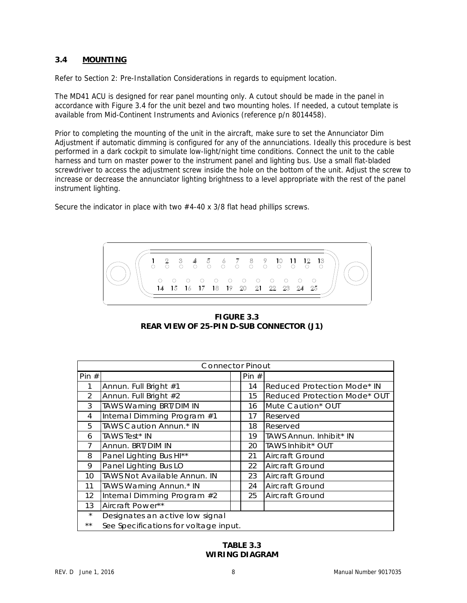## **3.4 MOUNTING**

Refer to Section 2: Pre-Installation Considerations in regards to equipment location.

The MD41 ACU is designed for rear panel mounting only. A cutout should be made in the panel in accordance with Figure 3.4 for the unit bezel and two mounting holes. If needed, a cutout template is available from Mid-Continent Instruments and Avionics (reference p/n 8014458).

Prior to completing the mounting of the unit in the aircraft, make sure to set the Annunciator Dim Adjustment if automatic dimming is configured for any of the annunciations. Ideally this procedure is best performed in a dark cockpit to simulate low-light/night time conditions. Connect the unit to the cable harness and turn on master power to the instrument panel and lighting bus. Use a small flat-bladed screwdriver to access the adjustment screw inside the hole on the bottom of the unit. Adjust the screw to increase or decrease the annunciator lighting brightness to a level appropriate with the rest of the panel instrument lighting.

Secure the indicator in place with two #4-40 x 3/8 flat head phillips screws.



**FIGURE 3.3 REAR VIEW OF 25-PIN D-SUB CONNECTOR (J1)**

| <b>Connector Pinout</b> |                                       |  |         |                              |
|-------------------------|---------------------------------------|--|---------|------------------------------|
| Pin $#$                 |                                       |  | Pin $#$ |                              |
| 1                       | Annun. Full Bright #1                 |  | 14      | Reduced Protection Mode* IN  |
| 2                       | Annun. Full Bright #2                 |  | 15      | Reduced Protection Mode* OUT |
| 3                       | TAWS Warning BRT/DIM IN               |  | 16      | Mute Caution* OUT            |
| 4                       | Internal Dimming Program #1           |  | 17      | Reserved                     |
| 5                       | TAWS Caution Annun.* IN               |  | 18      | Reserved                     |
| 6                       | <b>TAWS Test* IN</b>                  |  | 19      | TAWS Annun. Inhibit* IN      |
| 7                       | Annun, BRT/DIM IN                     |  | 20      | TAWS Inhibit* OUT            |
| 8                       | Panel Lighting Bus HI**               |  | 21      | Aircraft Ground              |
| 9                       | Panel Lighting Bus LO                 |  | 22      | Aircraft Ground              |
| 10 <sup>1</sup>         | <b>TAWS Not Available Annun. IN</b>   |  | 23      | Aircraft Ground              |
| 11                      | TAWS Warning Annun.* IN               |  | 24      | Aircraft Ground              |
| 12                      | Internal Dimming Program #2           |  | 25      | Aircraft Ground              |
| 13                      | Aircraft Power**                      |  |         |                              |
| $\star$                 | Designates an active low signal       |  |         |                              |
| **                      | See Specifications for voltage input. |  |         |                              |

# **TABLE 3.3 WIRING DIAGRAM**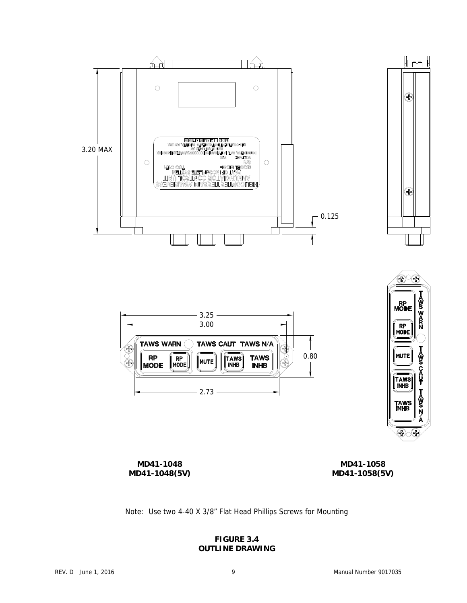





∣⊤ਦਾ

⊕

⊕

**MD41-1048 MD41-1048(5V)** 

**MD41-1058 MD41-1058(5V)** 

Note: Use two 4-40 X 3/8" Flat Head Phillips Screws for Mounting

## **FIGURE 3.4 OUTLINE DRAWING**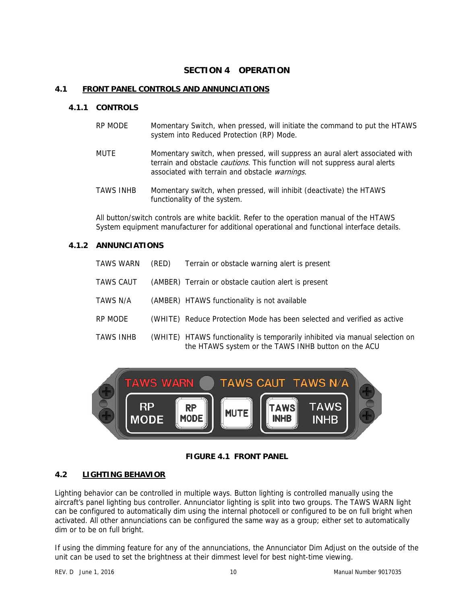# **SECTION 4 OPERATION**

#### **4.1 FRONT PANEL CONTROLS AND ANNUNCIATIONS**

#### **4.1.1 CONTROLS**

- RP MODE Momentary Switch, when pressed, will initiate the command to put the HTAWS system into Reduced Protection (RP) Mode.
- MUTE Momentary switch, when pressed, will suppress an aural alert associated with terrain and obstacle *cautions*. This function will not suppress aural alerts associated with terrain and obstacle warnings.
- TAWS INHB Momentary switch, when pressed, will inhibit (deactivate) the HTAWS functionality of the system.

All button/switch controls are white backlit. Refer to the operation manual of the HTAWS System equipment manufacturer for additional operational and functional interface details.

## **4.1.2 ANNUNCIATIONS**

| TAWS WARN | (RED) | Terrain or obstacle warning alert is present                                                                                        |
|-----------|-------|-------------------------------------------------------------------------------------------------------------------------------------|
| TAWS CAUT |       | (AMBER) Terrain or obstacle caution alert is present                                                                                |
| TAWS N/A  |       | (AMBER) HTAWS functionality is not available                                                                                        |
| RP MODE   |       | (WHITE) Reduce Protection Mode has been selected and verified as active                                                             |
| TAWS INHB |       | (WHITE) HTAWS functionality is temporarily inhibited via manual selection on<br>the HTAWS system or the TAWS INHB button on the ACU |



## **FIGURE 4.1 FRONT PANEL**

# **4.2 LIGHTING BEHAVIOR**

Lighting behavior can be controlled in multiple ways. Button lighting is controlled manually using the aircraft's panel lighting bus controller. Annunciator lighting is split into two groups. The TAWS WARN light can be configured to automatically dim using the internal photocell or configured to be on full bright when activated. All other annunciations can be configured the same way as a group; either set to automatically dim or to be on full bright.

If using the dimming feature for any of the annunciations, the Annunciator Dim Adjust on the outside of the unit can be used to set the brightness at their dimmest level for best night-time viewing.